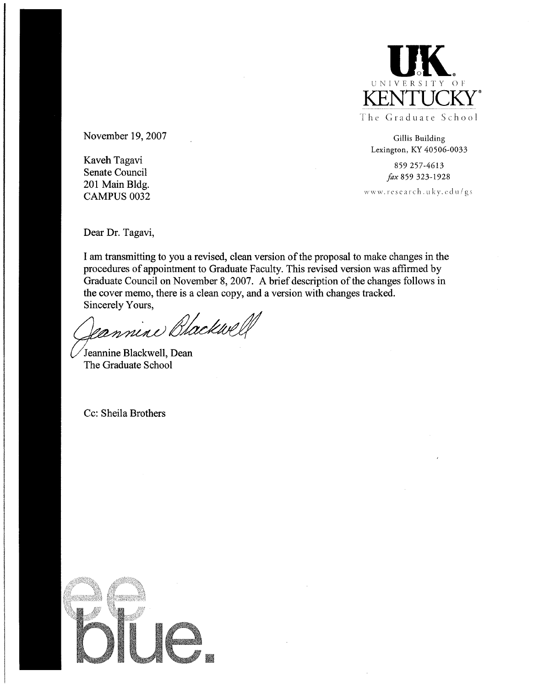

November 19, 2007

Kaveh Tagavi Senate Council 201 Main Bldg. **CAMPUS 0032** 

Gillis Building Lexington, KY 40506-0033

859 257-4613 fax 859 323-1928

www.research.uky.edu/gs

Dear Dr. Tagavi,

I am transmitting to you a revised, clean version of the proposal to make changes in the procedures of appointment to Graduate Faculty. This revised version was affirmed by Graduate Council on November 8, 2007. A brief description of the changes follows in the cover memo, there is a clean copy, and a version with changes tracked. Sincerely Yours,

Jeannine Blackwel

Jeannine Blackwell, Dean The Graduate School

Cc: Sheila Brothers

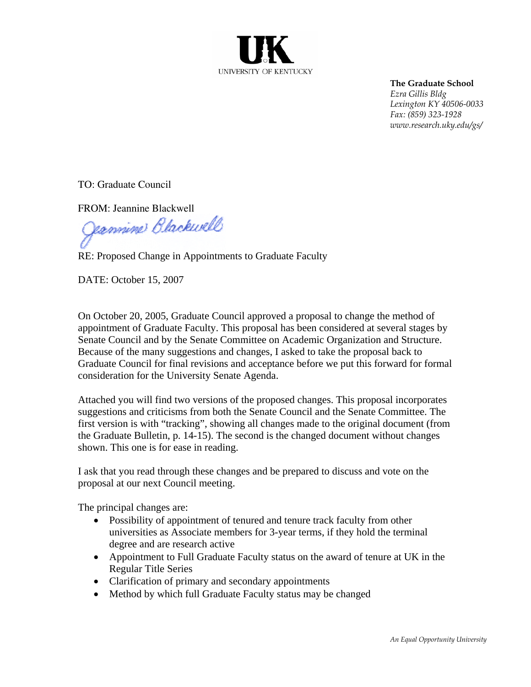

**The Graduate School** *Ezra Gillis Bldg Lexington KY 40506-0033 Fax: (859) 323-1928 www.research.uky.edu/gs/* 

TO: Graduate Council

FROM: Jeannine Blackwell

Jannine Blackwell

RE: Proposed Change in Appointments to Graduate Faculty

DATE: October 15, 2007

On October 20, 2005, Graduate Council approved a proposal to change the method of appointment of Graduate Faculty. This proposal has been considered at several stages by Senate Council and by the Senate Committee on Academic Organization and Structure. Because of the many suggestions and changes, I asked to take the proposal back to Graduate Council for final revisions and acceptance before we put this forward for formal consideration for the University Senate Agenda.

Attached you will find two versions of the proposed changes. This proposal incorporates suggestions and criticisms from both the Senate Council and the Senate Committee. The first version is with "tracking", showing all changes made to the original document (from the Graduate Bulletin, p. 14-15). The second is the changed document without changes shown. This one is for ease in reading.

I ask that you read through these changes and be prepared to discuss and vote on the proposal at our next Council meeting.

The principal changes are:

- Possibility of appointment of tenured and tenure track faculty from other universities as Associate members for 3-year terms, if they hold the terminal degree and are research active
- Appointment to Full Graduate Faculty status on the award of tenure at UK in the Regular Title Series
- Clarification of primary and secondary appointments
- Method by which full Graduate Faculty status may be changed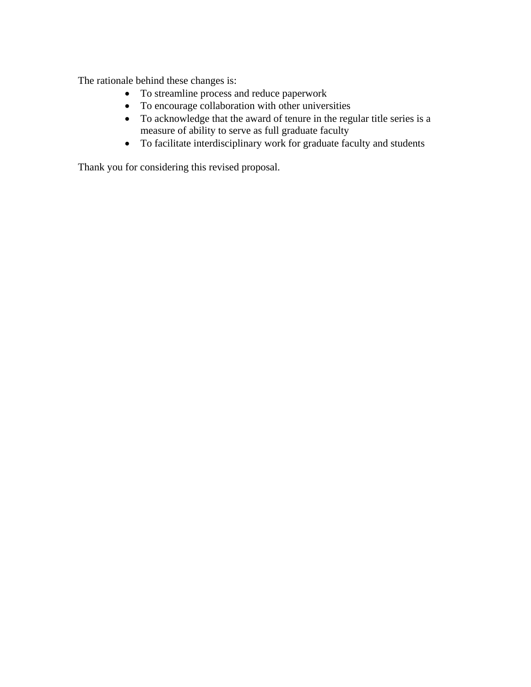The rationale behind these changes is:

- To streamline process and reduce paperwork
- To encourage collaboration with other universities
- To acknowledge that the award of tenure in the regular title series is a measure of ability to serve as full graduate faculty
- To facilitate interdisciplinary work for graduate faculty and students

Thank you for considering this revised proposal.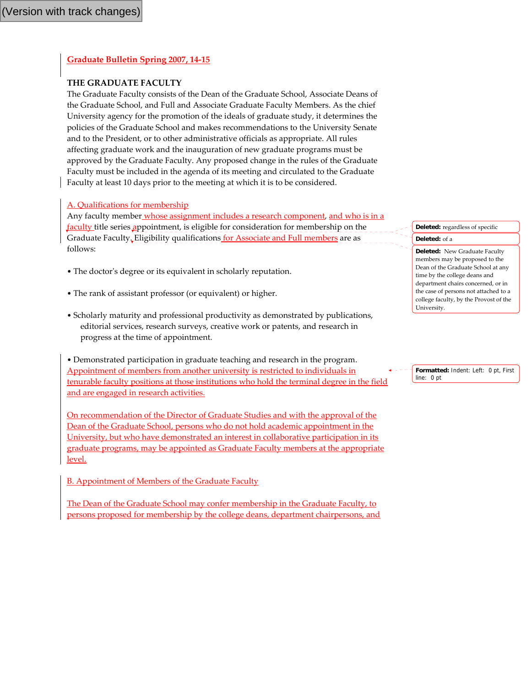### **Graduate Bulletin Spring 2007, 14‐15**

### **THE GRADUATE FACULTY**

The Graduate Faculty consists of the Dean of the Graduate School, Associate Deans of the Graduate School, and Full and Associate Graduate Faculty Members. As the chief University agency for the promotion of the ideals of graduate study, it determines the policies of the Graduate School and makes recommendations to the University Senate and to the President, or to other administrative officials as appropriate. All rules affecting graduate work and the inauguration of new graduate programs must be approved by the Graduate Faculty. Any proposed change in the rules of the Graduate Faculty must be included in the agenda of its meeting and circulated to the Graduate Faculty at least 10 days prior to the meeting at which it is to be considered.

### A. Qualifications for membership

Any faculty member whose assignment includes a research component, and who is in a faculty title series appointment, is eligible for consideration for membership on the Graduate Faculty. Eligibility qualifications for Associate and Full members are as follows:

- The doctor's degree or its equivalent in scholarly reputation.
- The rank of assistant professor (or equivalent) or higher.
- Scholarly maturity and professional productivity as demonstrated by publications, editorial services, research surveys, creative work or patents, and research in progress at the time of appointment.

• Demonstrated participation in graduate teaching and research in the program. Appointment of members from another university is restricted to individuals in tenurable faculty positions at those institutions who hold the terminal degree in the field and are engaged in research activities.

On recommendation of the Director of Graduate Studies and with the approval of the Dean of the Graduate School, persons who do not hold academic appointment in the University, but who have demonstrated an interest in collaborative participation in its graduate programs, may be appointed as Graduate Faculty members at the appropriate level.

B. Appointment of Members of the Graduate Faculty

The Dean of the Graduate School may confer membership in the Graduate Faculty, to persons proposed for membership by the college deans, department chairpersons, and

# **Deleted:** regardless of specific

#### **Deleted:** of a

**Deleted:** New Graduate Faculty members may be proposed to the Dean of the Graduate School at any time by the college deans and department chairs concerned, or in the case of persons not attached to a college faculty, by the Provost of the University.

**Formatted:** Indent: Left: 0 pt, First line: 0 pt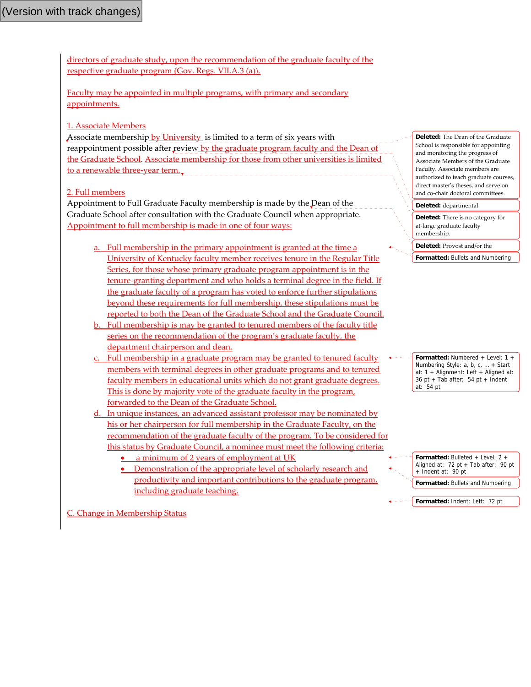directors of graduate study, upon the recommendation of the graduate faculty of the respective graduate program (Gov. Regs. VII.A.3 (a)).

Faculty may be appointed in multiple programs, with primary and secondary appointments.

### 1. Associate Members

Associate membership by University is limited to a term of six years with reappointment possible after review by the graduate program faculty and the Dean of the Graduate School. Associate membership for those from other universities is limited to a renewable three-year term...

### 2. Full members

Appointment to Full Graduate Faculty membership is made by the Dean of the Graduate School after consultation with the Graduate Council when appropriate. Appointment to full membership is made in one of four ways:

- a. Full membership in the primary appointment is granted at the time a University of Kentucky faculty member receives tenure in the Regular Title Series, for those whose primary graduate program appointment is in the tenure-granting department and who holds a terminal degree in the field. If the graduate faculty of a program has voted to enforce further stipulations beyond these requirements for full membership, these stipulations must be reported to both the Dean of the Graduate School and the Graduate Council.
- b. Full membership is may be granted to tenured members of the faculty title series on the recommendation of the program's graduate faculty, the department chairperson and dean.
- c. Full membership in a graduate program may be granted to tenured faculty members with terminal degrees in other graduate programs and to tenured faculty members in educational units which do not grant graduate degrees. This is done by majority vote of the graduate faculty in the program, forwarded to the Dean of the Graduate School.
- d. In unique instances, an advanced assistant professor may be nominated by his or her chairperson for full membership in the Graduate Faculty, on the recommendation of the graduate faculty of the program. To be considered for this status by Graduate Council, a nominee must meet the following criteria:
	- a minimum of 2 years of employment at UK
	- Demonstration of the appropriate level of scholarly research and productivity and important contributions to the graduate program, including graduate teaching.

**Deleted:** The Dean of the Graduate School is responsible for appointing and monitoring the progress of Associate Members of the Graduate Faculty. Associate members are authorized to teach graduate courses, direct masterʹs theses, and serve on and co‐chair doctoral committees.

#### **Deleted:** departmental

**Deleted:** There is no category for at‐large graduate faculty membership.

**Deleted:** Provost and/or the

**Formatted:** Bullets and Numbering

**Formatted:** Numbered + Level: 1 + Numbering Style: a, b, c, … + Start at: 1 + Alignment: Left + Aligned at: 36 pt + Tab after: 54 pt + Indent at: 54 pt

**Formatted:** Bulleted + Level: 2 + Aligned at:  $72$  pt + Tab after:  $90$  pt + Indent at: 90 pt **Formatted:** Bullets and Numbering **Formatted:** Indent: Left: 72 pt

C. Change in Membership Status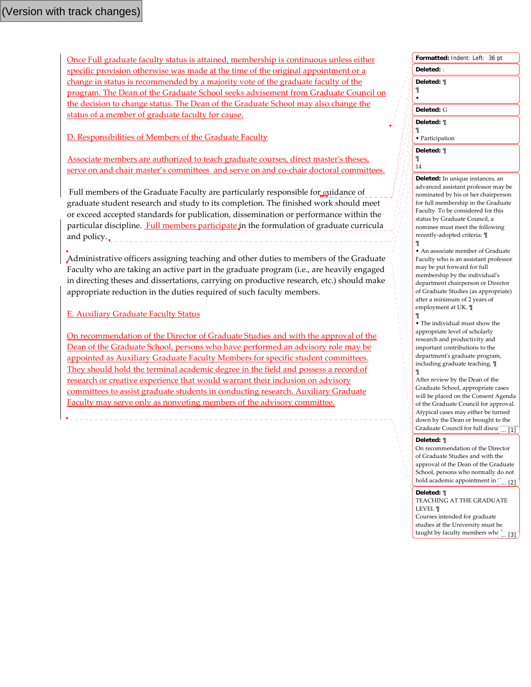Once Full graduate faculty status is attained, membership is continuous unless either specific provision otherwise was made at the time of the original appointment or a change in status is recommended by a majority vote of the graduate faculty of the program. The Dean of the Graduate School seeks advisement from Graduate Council on the decision to change status. The Dean of the Graduate School may also change the status of a member of graduate faculty for cause.

D. Responsibilities of Members of the Graduate Faculty

Associate members are authorized to teach graduate courses, direct masterʹs theses, serve on and chair master's committees and serve on and co-chair doctoral committees.

Full members of the Graduate Faculty are particularly responsible for guidance of graduate student research and study to its completion. The finished work should meet or exceed accepted standards for publication, dissemination or performance within the particular discipline. Full members participate in the formulation of graduate curricula and policy.

Administrative officers assigning teaching and other duties to members of the Graduate Faculty who are taking an active part in the graduate program (i.e., are heavily engaged in directing theses and dissertations, carrying on productive research, etc.) should make appropriate reduction in the duties required of such faculty members.

E. Auxiliary Graduate Faculty Status

On recommendation of the Director of Graduate Studies and with the approval of the Dean of the Graduate School, persons who have performed an advisory role may be appointed as Auxiliary Graduate Faculty Members for specific student committees. They should hold the terminal academic degree in the field and possess a record of research or creative experience that would warrant their inclusion on advisory committees to assist graduate students in conducting research. Auxiliary Graduate Faculty may serve only as nonvoting members of the advisory committee.

| Formatted: Indent: Left: 36 pt     |
|------------------------------------|
| Deleted: :                         |
| Deleted: ¶<br>¶                    |
| Deleted: G                         |
| Deleted: ¶<br>¶<br>• Participation |
| Deleted: ¶<br>¶<br>14              |

**Deleted:** In unique instances, an advanced assistant professor may be nominated by his or her chairperson for full membership in the Graduate Faculty. To be considered for this status by Graduate Council, a nominee must meet the following recently‐adopted criteria: ¶

• An associate member of Graduate Faculty who is an assistant professor may be put forward for full membership by the individualʹs department chairperson or Director of Graduate Studies (as appropriate) after a minimum of 2 years of employment at UK. ¶

¶ • The individual must show the appropriate level of scholarly research and productivity and important contributions to the departmentʹs graduate program, including graduate teaching. ¶ ¶

After review by the Dean of the Graduate School, appropriate cases will be placed on the Consent Agenda of the Graduate Council for approval. Atypical cases may either be turned down by the Dean or brought to the Graduate Council for full discu $\begin{bmatrix} 1 \end{bmatrix}$ 

#### **Deleted:** ¶

¶

On recommendation of the Director of Graduate Studies and with the approval of the Dean of the Graduate School, persons who normally do not hold academic appointment in  $\begin{bmatrix} \ldots \end{bmatrix}$ 

#### **Deleted:** ¶

TEACHING AT THE GRADUATE LEVEL ¶ Courses intended for graduate studies at the University must be taught by faculty members who ... [3]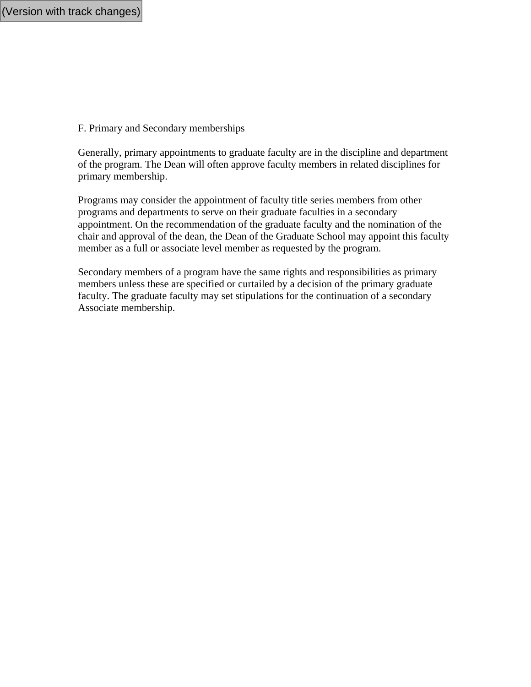F. Primary and Secondary memberships

Generally, primary appointments to graduate faculty are in the discipline and department of the program. The Dean will often approve faculty members in related disciplines for primary membership.

Programs may consider the appointment of faculty title series members from other programs and departments to serve on their graduate faculties in a secondary appointment. On the recommendation of the graduate faculty and the nomination of the chair and approval of the dean, the Dean of the Graduate School may appoint this faculty member as a full or associate level member as requested by the program.

Secondary members of a program have the same rights and responsibilities as primary members unless these are specified or curtailed by a decision of the primary graduate faculty. The graduate faculty may set stipulations for the continuation of a secondary Associate membership.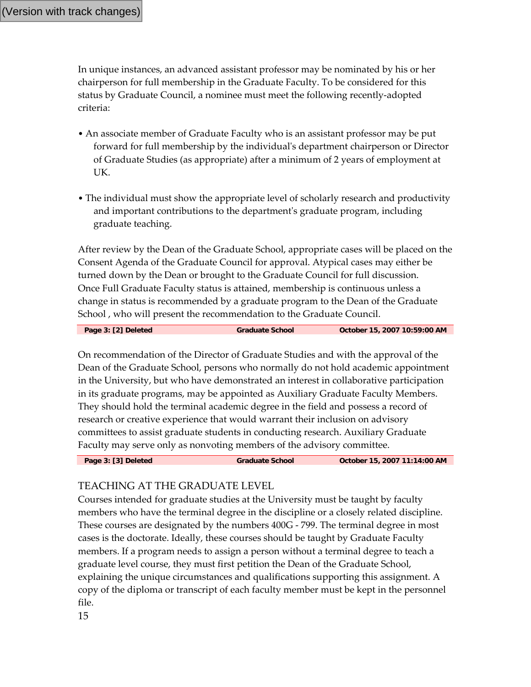In unique instances, an advanced assistant professor may be nominated by his or her chairperson for full membership in the Graduate Faculty. To be considered for this status by Graduate Council, a nominee must meet the following recently‐adopted criteria:

- An associate member of Graduate Faculty who is an assistant professor may be put forward for full membership by the individualʹs department chairperson or Director of Graduate Studies (as appropriate) after a minimum of 2 years of employment at UK.
- The individual must show the appropriate level of scholarly research and productivity and important contributions to the departmentʹs graduate program, including graduate teaching.

After review by the Dean of the Graduate School, appropriate cases will be placed on the Consent Agenda of the Graduate Council for approval. Atypical cases may either be turned down by the Dean or brought to the Graduate Council for full discussion. Once Full Graduate Faculty status is attained, membership is continuous unless a change in status is recommended by a graduate program to the Dean of the Graduate School , who will present the recommendation to the Graduate Council.

**Page 3: [2] Deleted Graduate School October 15, 2007 10:59:00 AM** 

On recommendation of the Director of Graduate Studies and with the approval of the Dean of the Graduate School, persons who normally do not hold academic appointment in the University, but who have demonstrated an interest in collaborative participation in its graduate programs, may be appointed as Auxiliary Graduate Faculty Members. They should hold the terminal academic degree in the field and possess a record of research or creative experience that would warrant their inclusion on advisory committees to assist graduate students in conducting research. Auxiliary Graduate Faculty may serve only as nonvoting members of the advisory committee.

**Page 3: [3] Deleted Graduate School October 15, 2007 11:14:00 AM** 

## TEACHING AT THE GRADUATE LEVEL

Courses intended for graduate studies at the University must be taught by faculty members who have the terminal degree in the discipline or a closely related discipline. These courses are designated by the numbers 400G ‐ 799. The terminal degree in most cases is the doctorate. Ideally, these courses should be taught by Graduate Faculty members. If a program needs to assign a person without a terminal degree to teach a graduate level course, they must first petition the Dean of the Graduate School, explaining the unique circumstances and qualifications supporting this assignment. A copy of the diploma or transcript of each faculty member must be kept in the personnel file.

15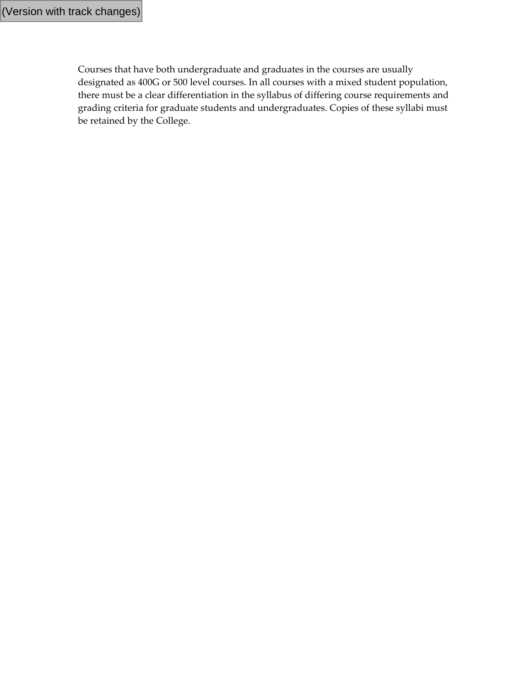Courses that have both undergraduate and graduates in the courses are usually designated as 400G or 500 level courses. In all courses with a mixed student population, there must be a clear differentiation in the syllabus of differing course requirements and grading criteria for graduate students and undergraduates. Copies of these syllabi must be retained by the College.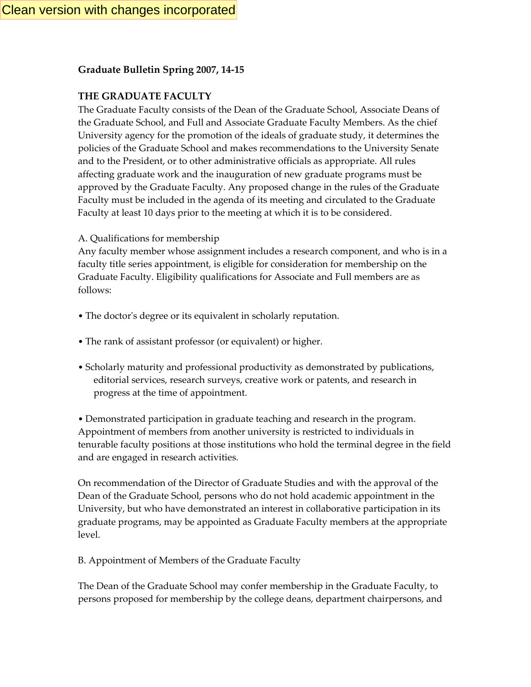## **Graduate Bulletin Spring 2007, 14‐15**

## **THE GRADUATE FACULTY**

The Graduate Faculty consists of the Dean of the Graduate School, Associate Deans of the Graduate School, and Full and Associate Graduate Faculty Members. As the chief University agency for the promotion of the ideals of graduate study, it determines the policies of the Graduate School and makes recommendations to the University Senate and to the President, or to other administrative officials as appropriate. All rules affecting graduate work and the inauguration of new graduate programs must be approved by the Graduate Faculty. Any proposed change in the rules of the Graduate Faculty must be included in the agenda of its meeting and circulated to the Graduate Faculty at least 10 days prior to the meeting at which it is to be considered.

A. Qualifications for membership

Any faculty member whose assignment includes a research component, and who is in a faculty title series appointment, is eligible for consideration for membership on the Graduate Faculty. Eligibility qualifications for Associate and Full members are as follows:

- The doctor's degree or its equivalent in scholarly reputation.
- The rank of assistant professor (or equivalent) or higher.
- Scholarly maturity and professional productivity as demonstrated by publications, editorial services, research surveys, creative work or patents, and research in progress at the time of appointment.

• Demonstrated participation in graduate teaching and research in the program. Appointment of members from another university is restricted to individuals in tenurable faculty positions at those institutions who hold the terminal degree in the field and are engaged in research activities.

On recommendation of the Director of Graduate Studies and with the approval of the Dean of the Graduate School, persons who do not hold academic appointment in the University, but who have demonstrated an interest in collaborative participation in its graduate programs, may be appointed as Graduate Faculty members at the appropriate level.

B. Appointment of Members of the Graduate Faculty

The Dean of the Graduate School may confer membership in the Graduate Faculty, to persons proposed for membership by the college deans, department chairpersons, and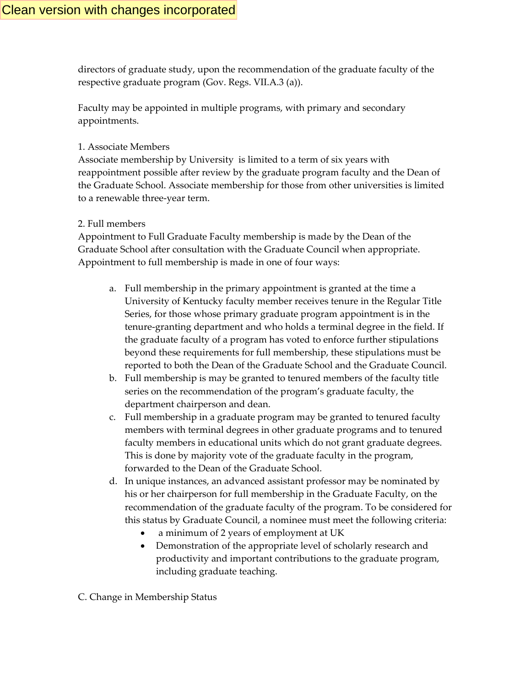directors of graduate study, upon the recommendation of the graduate faculty of the respective graduate program (Gov. Regs. VII.A.3 (a)).

Faculty may be appointed in multiple programs, with primary and secondary appointments.

### 1. Associate Members

Associate membership by University is limited to a term of six years with reappointment possible after review by the graduate program faculty and the Dean of the Graduate School. Associate membership for those from other universities is limited to a renewable three‐year term.

## 2. Full members

Appointment to Full Graduate Faculty membership is made by the Dean of the Graduate School after consultation with the Graduate Council when appropriate. Appointment to full membership is made in one of four ways:

- a. Full membership in the primary appointment is granted at the time a University of Kentucky faculty member receives tenure in the Regular Title Series, for those whose primary graduate program appointment is in the tenure‐granting department and who holds a terminal degree in the field. If the graduate faculty of a program has voted to enforce further stipulations beyond these requirements for full membership, these stipulations must be reported to both the Dean of the Graduate School and the Graduate Council.
- b. Full membership is may be granted to tenured members of the faculty title series on the recommendation of the program's graduate faculty, the department chairperson and dean.
- c. Full membership in a graduate program may be granted to tenured faculty members with terminal degrees in other graduate programs and to tenured faculty members in educational units which do not grant graduate degrees. This is done by majority vote of the graduate faculty in the program, forwarded to the Dean of the Graduate School.
- d. In unique instances, an advanced assistant professor may be nominated by his or her chairperson for full membership in the Graduate Faculty, on the recommendation of the graduate faculty of the program. To be considered for this status by Graduate Council, a nominee must meet the following criteria:
	- a minimum of 2 years of employment at UK
	- Demonstration of the appropriate level of scholarly research and productivity and important contributions to the graduate program, including graduate teaching.

C. Change in Membership Status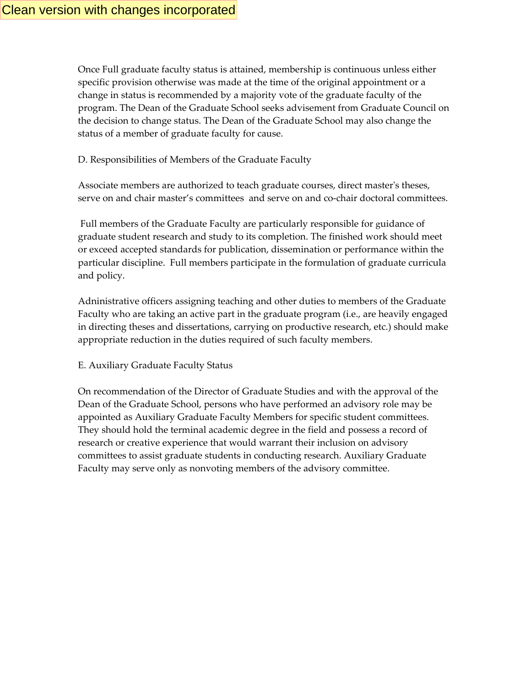Once Full graduate faculty status is attained, membership is continuous unless either specific provision otherwise was made at the time of the original appointment or a change in status is recommended by a majority vote of the graduate faculty of the program. The Dean of the Graduate School seeks advisement from Graduate Council on the decision to change status. The Dean of the Graduate School may also change the status of a member of graduate faculty for cause.

## D. Responsibilities of Members of the Graduate Faculty

Associate members are authorized to teach graduate courses, direct masterʹs theses, serve on and chair master's committees and serve on and co-chair doctoral committees.

Full members of the Graduate Faculty are particularly responsible for guidance of graduate student research and study to its completion. The finished work should meet or exceed accepted standards for publication, dissemination or performance within the particular discipline. Full members participate in the formulation of graduate curricula and policy.

Adninistrative officers assigning teaching and other duties to members of the Graduate Faculty who are taking an active part in the graduate program (i.e., are heavily engaged in directing theses and dissertations, carrying on productive research, etc.) should make appropriate reduction in the duties required of such faculty members.

E. Auxiliary Graduate Faculty Status

On recommendation of the Director of Graduate Studies and with the approval of the Dean of the Graduate School, persons who have performed an advisory role may be appointed as Auxiliary Graduate Faculty Members for specific student committees. They should hold the terminal academic degree in the field and possess a record of research or creative experience that would warrant their inclusion on advisory committees to assist graduate students in conducting research. Auxiliary Graduate Faculty may serve only as nonvoting members of the advisory committee.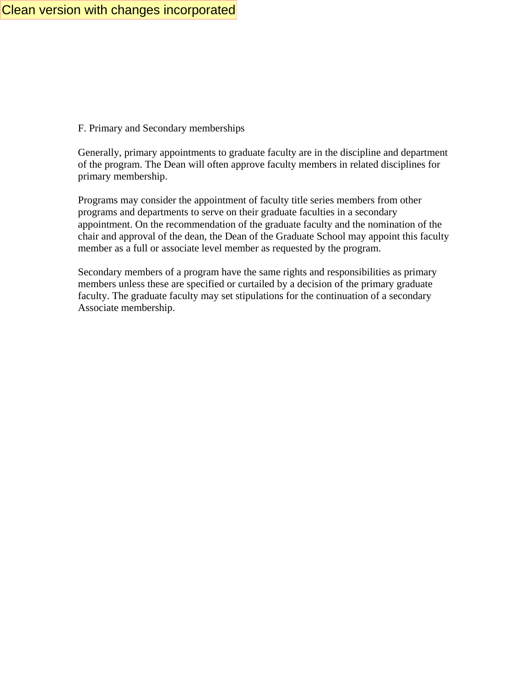F. Primary and Secondary memberships

Generally, primary appointments to graduate faculty are in the discipline and department of the program. The Dean will often approve faculty members in related disciplines for primary membership.

Programs may consider the appointment of faculty title series members from other programs and departments to serve on their graduate faculties in a secondary appointment. On the recommendation of the graduate faculty and the nomination of the chair and approval of the dean, the Dean of the Graduate School may appoint this faculty member as a full or associate level member as requested by the program.

Secondary members of a program have the same rights and responsibilities as primary members unless these are specified or curtailed by a decision of the primary graduate faculty. The graduate faculty may set stipulations for the continuation of a secondary Associate membership.